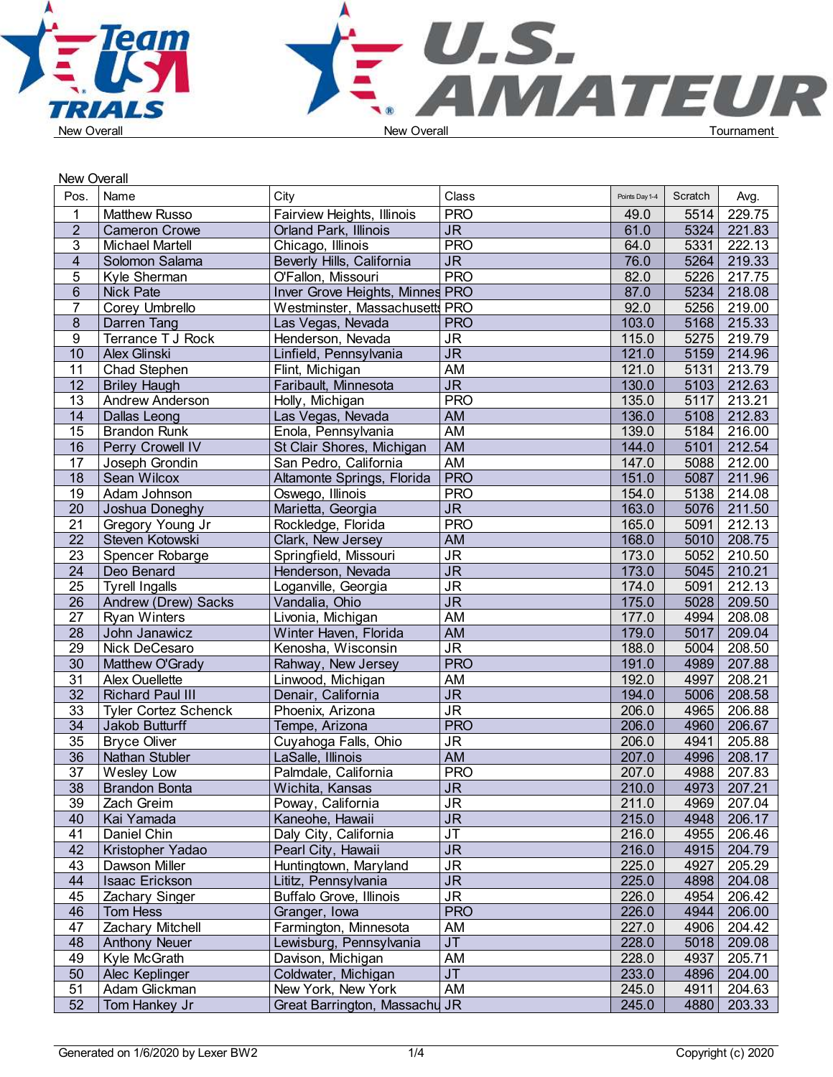

|                 | <b>New Overall</b>          |                                             |                                   |                |         |             |  |
|-----------------|-----------------------------|---------------------------------------------|-----------------------------------|----------------|---------|-------------|--|
| Pos.            | Name                        | City                                        | Class                             | Points Day 1-4 | Scratch | Avg.        |  |
|                 | <b>Matthew Russo</b>        | Fairview Heights, Illinois                  | <b>PRO</b>                        | 49.0           | 5514    | 229.75      |  |
| $\overline{2}$  | <b>Cameron Crowe</b>        | Orland Park, Illinois                       | $\overline{\mathsf{J}\mathsf{R}}$ | 61.0           | 5324    | 221.83      |  |
| 3               | <b>Michael Martell</b>      | Chicago, Illinois                           | <b>PRO</b>                        | 64.0           | 5331    | 222.13      |  |
| $\overline{4}$  | Solomon Salama              | Beverly Hills, California                   | J <sub>R</sub>                    | 76.0           | 5264    | 219.33      |  |
| 5               | Kyle Sherman                | O'Fallon, Missouri                          | <b>PRO</b>                        | 82.0           | 5226    | 217.75      |  |
| $6\phantom{.}$  | <b>Nick Pate</b>            | Inver Grove Heights, Minnes PRO             |                                   | 87.0           | 5234    | 218.08      |  |
| $\overline{7}$  | Corey Umbrello              | Westminster, Massachusetts PRO              |                                   | 92.0           | 5256    | 219.00      |  |
| 8               | Darren Tang                 | Las Vegas, Nevada                           | <b>PRO</b>                        | 103.0          | 5168    | 215.33      |  |
| 9               |                             | Henderson, Nevada                           |                                   |                | 5275    |             |  |
|                 | Terrance T J Rock           |                                             | <b>JR</b>                         | 115.0          |         | 219.79      |  |
| 10              | Alex Glinski                | Linfield, Pennsylvania                      | $\overline{\mathsf{JR}}$          | 121.0          | 5159    | 214.96      |  |
| 11              | Chad Stephen                | Flint, Michigan                             | <b>AM</b>                         | 121.0          | 5131    | 213.79      |  |
| 12              | <b>Briley Haugh</b>         | Faribault, Minnesota                        | <b>JR</b>                         | 130.0          | 5103    | 212.63      |  |
| 13              | Andrew Anderson             | Holly, Michigan                             | <b>PRO</b>                        | 135.0          | 5117    | 213.21      |  |
| 14              | Dallas Leong                | Las Vegas, Nevada                           | <b>AM</b>                         | 136.0          | 5108    | 212.83      |  |
| 15              | <b>Brandon Runk</b>         | Enola, Pennsylvania                         | <b>AM</b>                         | 139.0          | 5184    | 216.00      |  |
| $\overline{16}$ | Perry Crowell IV            | St Clair Shores, Michigan                   | <b>AM</b>                         | 144.0          | 5101    | 212.54      |  |
| 17              | Joseph Grondin              | San Pedro, California                       | <b>AM</b>                         | 147.0          | 5088    | 212.00      |  |
| 18              | Sean Wilcox                 | Altamonte Springs, Florida                  | <b>PRO</b>                        | 151.0          | 5087    | 211.96      |  |
| 19              | Adam Johnson                | Oswego, Illinois                            | <b>PRO</b>                        | 154.0          | 5138    | 214.08      |  |
| 20              | Joshua Doneghy              | Marietta, Georgia                           | J <sub>R</sub>                    | 163.0          | 5076    | 211.50      |  |
| $\overline{21}$ | Gregory Young Jr            | Rockledge, Florida                          | <b>PRO</b>                        | 165.0          | 5091    | 212.13      |  |
| $\overline{22}$ | Steven Kotowski             | Clark, New Jersey                           | <b>AM</b>                         | 168.0          | 5010    | 208.75      |  |
| 23              | Spencer Robarge             | Springfield, Missouri                       | $\overline{\mathsf{J}\mathsf{R}}$ | 173.0          | 5052    | 210.50      |  |
| $\overline{24}$ | Deo Benard                  | Henderson, Nevada                           | $\overline{\mathsf{J}\mathsf{R}}$ | 173.0          | 5045    | 210.21      |  |
| $\overline{25}$ | <b>Tyrell Ingalls</b>       | Loganville, Georgia                         | <b>JR</b>                         | 174.0          | 5091    | 212.13      |  |
| $\overline{26}$ | Andrew (Drew) Sacks         | Vandalia, Ohio                              | $\overline{\mathsf{J}\mathsf{R}}$ | 175.0          | 5028    | 209.50      |  |
| $\overline{27}$ | <b>Ryan Winters</b>         | Livonia, Michigan                           | AM                                | 177.0          | 4994    | 208.08      |  |
| $\overline{28}$ | John Janawicz               | Winter Haven, Florida                       | AM                                | 179.0          | 5017    | 209.04      |  |
| 29              | Nick DeCesaro               | Kenosha, Wisconsin                          | $\overline{\mathsf{J}\mathsf{R}}$ | 188.0          | 5004    | 208.50      |  |
| 30              | Matthew O'Grady             | Rahway, New Jersey                          | <b>PRO</b>                        | 191.0          | 4989    | 207.88      |  |
| 31              | Alex Ouellette              | Linwood, Michigan                           | AM                                | 192.0          | 4997    | 208.21      |  |
| $\overline{32}$ | <b>Richard Paul III</b>     | Denair, California                          | $\overline{\mathsf{J}\mathsf{R}}$ | 194.0          | 5006    | 208.58      |  |
| 33              | <b>Tyler Cortez Schenck</b> | Phoenix, Arizona                            | $\overline{\mathsf{JR}}$          | 206.0          | 4965    | 206.88      |  |
| $\overline{34}$ | Jakob Butturff              | Tempe, Arizona                              | <b>PRO</b>                        | 206.0          | 4960    | 206.67      |  |
| 35              | <b>Bryce Oliver</b>         | Cuyahoga Falls, Ohio                        | <b>JR</b>                         | 206.0          | 4941    | 205.88      |  |
| 36              | Nathan Stubler              | LaSalle, Illinois                           | AM                                | 207.0          | 4996    | 208.17      |  |
| 37              | Wesley Low                  | Palmdale, California                        | <b>PRO</b>                        | 207.0          | 4988    | 207.83      |  |
|                 | <b>Brandon Bonta</b>        | Wichita, Kansas                             | <b>JR</b>                         | 210.0          |         | 4973 207.21 |  |
| 38<br>39        | Zach Greim                  | Poway, California                           | <b>JR</b>                         | 211.0          | 4969    | 207.04      |  |
| 40              | Kai Yamada                  | Kaneohe, Hawaii                             | J <sub>R</sub>                    | 215.0          | 4948    | 206.17      |  |
| 41              |                             |                                             | <b>JT</b>                         | 216.0          |         |             |  |
|                 | Daniel Chin                 | Daly City, California<br>Pearl City, Hawaii | $\overline{\mathsf{JR}}$          |                | 4955    | 206.46      |  |
| 42              | Kristopher Yadao            |                                             |                                   | 216.0          | 4915    | 204.79      |  |
| 43              | Dawson Miller               | Huntingtown, Maryland                       | <b>JR</b>                         | 225.0          | 4927    | 205.29      |  |
| 44              | Isaac Erickson              | Lititz, Pennsylvania                        | <b>JR</b>                         | 225.0          | 4898    | 204.08      |  |
| 45              | Zachary Singer              | Buffalo Grove, Illinois                     | <b>JR</b>                         | 226.0          | 4954    | 206.42      |  |
| 46              | Tom Hess                    | Granger, Iowa                               | <b>PRO</b>                        | 226.0          | 4944    | 206.00      |  |
| 47              | <b>Zachary Mitchell</b>     | Farmington, Minnesota                       | AM                                | 227.0          | 4906    | 204.42      |  |
| 48              | <b>Anthony Neuer</b>        | Lewisburg, Pennsylvania                     | <b>JT</b>                         | 228.0          | 5018    | 209.08      |  |
| 49              | Kyle McGrath                | Davison, Michigan                           | AM                                | 228.0          | 4937    | 205.71      |  |
| 50              | Alec Keplinger              | Coldwater, Michigan                         | J <sub>T</sub>                    | 233.0          | 4896    | 204.00      |  |
| 51              | Adam Glickman               | New York, New York                          | AM                                | 245.0          | 4911    | 204.63      |  |
| 52              | Tom Hankey Jr               | Great Barrington, Massachu JR               |                                   | 245.0          | 4880    | 203.33      |  |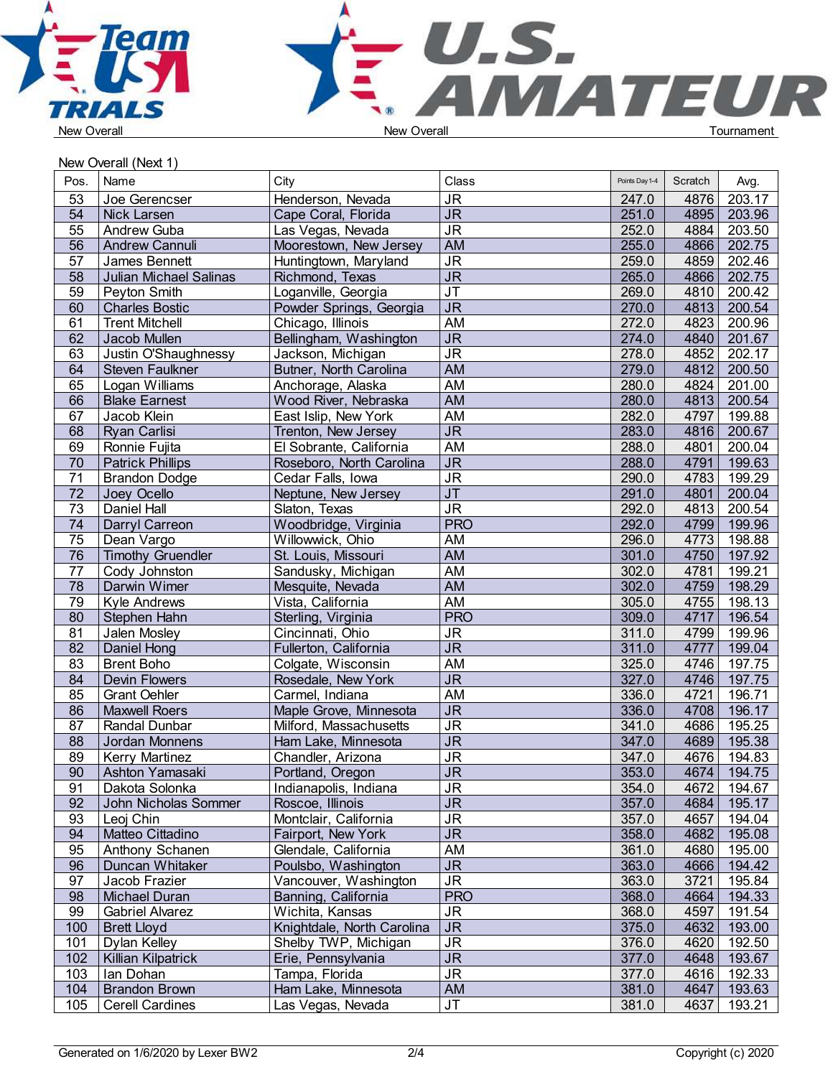



New Overall (Next 1)

| Pos.            | Name                     | City                       | Class                             | Points Day 1-4 | Scratch | Avg.   |  |
|-----------------|--------------------------|----------------------------|-----------------------------------|----------------|---------|--------|--|
| 53              | Joe Gerencser            | Henderson, Nevada          | <b>JR</b>                         | 247.0          | 4876    | 203.17 |  |
| 54              | Nick Larsen              | Cape Coral, Florida        | J <sub>R</sub>                    | 251.0          | 4895    | 203.96 |  |
| 55              | Andrew Guba              | Las Vegas, Nevada          | <b>JR</b>                         | 252.0          | 4884    | 203.50 |  |
| $\overline{56}$ | Andrew Cannuli           | Moorestown, New Jersey     | AM                                | 255.0          | 4866    | 202.75 |  |
| 57              | James Bennett            | Huntingtown, Maryland      | $\overline{\mathsf{JR}}$          | 259.0          | 4859    | 202.46 |  |
| $\overline{58}$ | Julian Michael Salinas   | Richmond, Texas            | $\overline{\mathsf{J}\mathsf{R}}$ | 265.0          | 4866    | 202.75 |  |
| 59              | Peyton Smith             | Loganville, Georgia        | $\overline{\mathsf{J}\mathsf{T}}$ | 269.0          | 4810    | 200.42 |  |
| 60              | <b>Charles Bostic</b>    | Powder Springs, Georgia    | $\overline{\mathsf{J}\mathsf{R}}$ | 270.0          | 4813    | 200.54 |  |
| 61              | <b>Trent Mitchell</b>    | Chicago, Illinois          | AM                                | 272.0          | 4823    | 200.96 |  |
| 62              | Jacob Mullen             | Bellingham, Washington     | <b>JR</b>                         | 274.0          | 4840    | 201.67 |  |
| 63              | Justin O'Shaughnessy     | Jackson, Michigan          | <b>JR</b>                         | 278.0          | 4852    | 202.17 |  |
| 64              | Steven Faulkner          | Butner, North Carolina     | <b>AM</b>                         | 279.0          | 4812    | 200.50 |  |
| 65              | Logan Williams           | Anchorage, Alaska          | AM                                | 280.0          | 4824    | 201.00 |  |
| 66              | <b>Blake Earnest</b>     | Wood River, Nebraska       | AM                                | 280.0          | 4813    | 200.54 |  |
| 67              | Jacob Klein              | East Islip, New York       | <b>AM</b>                         | 282.0          | 4797    | 199.88 |  |
| 68              | Ryan Carlisi             | Trenton, New Jersey        | <b>JR</b>                         | 283.0          | 4816    | 200.67 |  |
| 69              | Ronnie Fujita            | El Sobrante, California    | <b>AM</b>                         | 288.0          | 4801    | 200.04 |  |
| 70              | <b>Patrick Phillips</b>  | Roseboro, North Carolina   | <b>JR</b>                         | 288.0          | 4791    | 199.63 |  |
| 71              | <b>Brandon Dodge</b>     | Cedar Falls, Iowa          | $\overline{\mathsf{J}\mathsf{R}}$ | 290.0          | 4783    | 199.29 |  |
| $\overline{72}$ | Joey Ocello              | Neptune, New Jersey        | JT                                | 291.0          | 4801    | 200.04 |  |
| $\overline{73}$ | Daniel Hall              | Slaton, Texas              | $\overline{\mathsf{J}\mathsf{R}}$ | 292.0          | 4813    | 200.54 |  |
| 74              | Darryl Carreon           | Woodbridge, Virginia       | <b>PRO</b>                        | 292.0          | 4799    | 199.96 |  |
| 75              | Dean Vargo               | Willowwick, Ohio           | AM                                | 296.0          | 4773    | 198.88 |  |
| $\overline{76}$ | <b>Timothy Gruendler</b> | St. Louis, Missouri        | AM                                | 301.0          | 4750    | 197.92 |  |
| $\overline{77}$ | Cody Johnston            | Sandusky, Michigan         | <b>AM</b>                         | 302.0          | 4781    | 199.21 |  |
| 78              | Darwin Wimer             | Mesquite, Nevada           | <b>AM</b>                         | 302.0          | 4759    | 198.29 |  |
| 79              | Kyle Andrews             | Vista, California          | <b>AM</b>                         | 305.0          | 4755    | 198.13 |  |
| 80              | Stephen Hahn             | Sterling, Virginia         | <b>PRO</b>                        | 309.0          | 4717    | 196.54 |  |
| 81              | Jalen Mosley             | Cincinnati, Ohio           | <b>JR</b>                         | 311.0          | 4799    | 199.96 |  |
| $\overline{82}$ | Daniel Hong              | Fullerton, California      | $\overline{\mathsf{J}\mathsf{R}}$ | 311.0          | 4777    | 199.04 |  |
| 83              | <b>Brent Boho</b>        | Colgate, Wisconsin         | AM                                | 325.0          | 4746    | 197.75 |  |
| 84              | Devin Flowers            | Rosedale, New York         | $\overline{\mathsf{J}\mathsf{R}}$ | 327.0          | 4746    | 197.75 |  |
| 85              | <b>Grant Oehler</b>      | Carmel, Indiana            | AM                                | 336.0          | 4721    | 196.71 |  |
| 86              | <b>Maxwell Roers</b>     | Maple Grove, Minnesota     | $\overline{\mathsf{J}\mathsf{R}}$ | 336.0          | 4708    | 196.17 |  |
| $\overline{87}$ | Randal Dunbar            | Milford, Massachusetts     | <b>JR</b>                         | 341.0          | 4686    | 195.25 |  |
| 88              | Jordan Monnens           | Ham Lake, Minnesota        | <b>JR</b>                         | 347.0          | 4689    | 195.38 |  |
| 89              | <b>Kerry Martinez</b>    | Chandler, Arizona          | $\overline{\mathsf{J}\mathsf{R}}$ | 347.0          | 4676    | 194.83 |  |
| 90              | Ashton Yamasaki          | Portland, Oregon           | <b>JR</b>                         | 353.0          | 4674    | 194.75 |  |
| 91              | Dakota Solonka           | Indianapolis, Indiana      | <b>JR</b>                         | 354.0          | 4672    | 194.67 |  |
| 92              | John Nicholas Sommer     | Roscoe, Illinois           | <b>JR</b>                         | 357.0          | 4684    | 195.17 |  |
| 93              | Leoj Chin                | Montclair, California      | <b>JR</b>                         | 357.0          | 4657    | 194.04 |  |
| 94              | Matteo Cittadino         | Fairport, New York         | $\overline{\mathsf{JR}}$          | 358.0          | 4682    | 195.08 |  |
| 95              | Anthony Schanen          | Glendale, California       | AM                                | 361.0          | 4680    | 195.00 |  |
| 96              | Duncan Whitaker          | Poulsbo, Washington        | <b>JR</b>                         | 363.0          | 4666    | 194.42 |  |
| 97              | Jacob Frazier            | Vancouver, Washington      | <b>JR</b>                         | 363.0          | 3721    | 195.84 |  |
| 98              | Michael Duran            | Banning, California        | <b>PRO</b>                        | 368.0          | 4664    | 194.33 |  |
| 99              | <b>Gabriel Alvarez</b>   | Wichita, Kansas            | <b>JR</b>                         | 368.0          | 4597    | 191.54 |  |
| 100             | <b>Brett Lloyd</b>       | Knightdale, North Carolina | <b>JR</b>                         | 375.0          | 4632    | 193.00 |  |
| 101             | Dylan Kelley             | Shelby TWP, Michigan       | <b>JR</b>                         | 376.0          | 4620    | 192.50 |  |
| 102             | Killian Kilpatrick       | Erie, Pennsylvania         | <b>JR</b>                         | 377.0          | 4648    | 193.67 |  |
| 103             | Ian Dohan                | Tampa, Florida             | <b>JR</b>                         | 377.0          | 4616    | 192.33 |  |
| 104             | Brandon Brown            | Ham Lake, Minnesota        | AM                                | 381.0          | 4647    | 193.63 |  |
| 105             | <b>Cerell Cardines</b>   | Las Vegas, Nevada          | $\sf JT$                          | 381.0          | 4637    | 193.21 |  |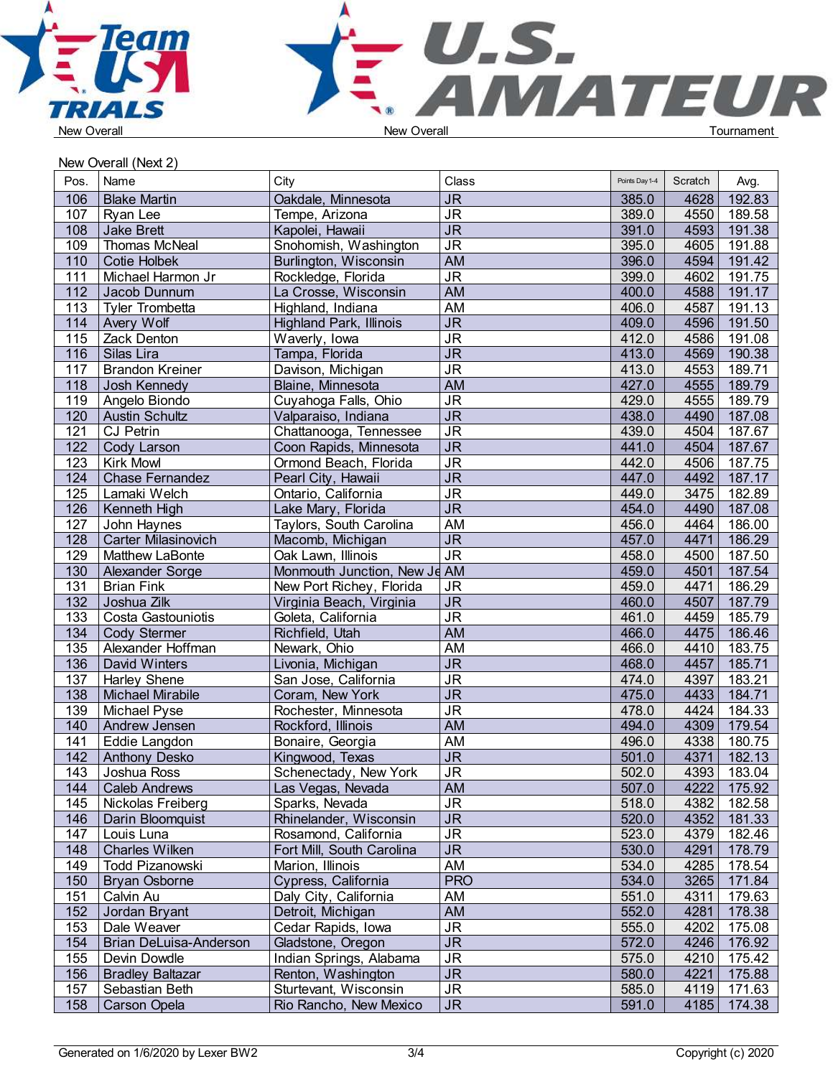



New Overall (Next 2)

| Pos.             | Name                       | City                           | Class                             | Points Day 1-4 | Scratch | Avg.        |  |
|------------------|----------------------------|--------------------------------|-----------------------------------|----------------|---------|-------------|--|
| 106              | <b>Blake Martin</b>        | Oakdale, Minnesota             | <b>JR</b>                         | 385.0          | 4628    | 192.83      |  |
| 107              | Ryan Lee                   | Tempe, Arizona                 | $\overline{\mathsf{J}\mathsf{R}}$ | 389.0          | 4550    | 189.58      |  |
| 108              | <b>Jake Brett</b>          | Kapolei, Hawaii                | $\overline{\mathsf{JR}}$          | 391.0          | 4593    | 191.38      |  |
| 109              | Thomas McNeal              | Snohomish, Washington          | <b>JR</b>                         | 395.0          | 4605    | 191.88      |  |
| 110              | Cotie Holbek               | Burlington, Wisconsin          | <b>AM</b>                         | 396.0          | 4594    | 191.42      |  |
| 111              | Michael Harmon Jr          | Rockledge, Florida             | <b>JR</b>                         | 399.0          | 4602    | 191.75      |  |
| 112              | Jacob Dunnum               | La Crosse, Wisconsin           | <b>AM</b>                         | 400.0          | 4588    | 191.17      |  |
| 113              | <b>Tyler Trombetta</b>     | Highland, Indiana              | AM                                | 406.0          | 4587    | 191.13      |  |
| 114              | Avery Wolf                 | <b>Highland Park, Illinois</b> | $\overline{\mathsf{JR}}$          | 409.0          | 4596    | 191.50      |  |
| 115              | Zack Denton                | Waverly, Iowa                  | <b>JR</b>                         | 412.0          | 4586    | 191.08      |  |
| 116              | Silas Lira                 | Tampa, Florida                 | $\overline{\mathsf{J}\mathsf{R}}$ | 413.0          | 4569    | 190.38      |  |
| 117              | <b>Brandon Kreiner</b>     | Davison, Michigan              | $\overline{\mathsf{J}\mathsf{R}}$ | 413.0          | 4553    | 189.71      |  |
| 118              | Josh Kennedy               | Blaine, Minnesota              | <b>AM</b>                         | 427.0          | 4555    | 189.79      |  |
| 119              | Angelo Biondo              | Cuyahoga Falls, Ohio           | <b>JR</b>                         | 429.0          | 4555    | 189.79      |  |
| 120              | Austin Schultz             | Valparaiso, Indiana            | $\overline{\mathsf{J}\mathsf{R}}$ | 438.0          | 4490    | 187.08      |  |
| 121              | <b>CJ Petrin</b>           | Chattanooga, Tennessee         | <b>JR</b>                         | 439.0          | 4504    | 187.67      |  |
| 122              | Cody Larson                | Coon Rapids, Minnesota         | $\overline{\mathsf{J}\mathsf{R}}$ | 441.0          | 4504    | 187.67      |  |
| 123              | <b>Kirk Mowl</b>           | Ormond Beach, Florida          | <b>JR</b>                         | 442.0          | 4506    | 187.75      |  |
| 124              | <b>Chase Fernandez</b>     | Pearl City, Hawaii             | $\overline{\mathsf{J}\mathsf{R}}$ | 447.0          | 4492    | 187.17      |  |
| 125              | Lamaki Welch               | Ontario, California            | $\overline{\mathsf{J}\mathsf{R}}$ | 449.0          | 3475    | 182.89      |  |
| 126              | Kenneth High               | Lake Mary, Florida             | $\overline{\mathsf{J}\mathsf{R}}$ | 454.0          | 4490    | 187.08      |  |
| 127              | John Haynes                | Taylors, South Carolina        | AM                                | 456.0          | 4464    | 186.00      |  |
| 128              | <b>Carter Milasinovich</b> | Macomb, Michigan               | <b>JR</b>                         | 457.0          | 4471    | 186.29      |  |
| 129              | Matthew LaBonte            | Oak Lawn, Illinois             | <b>JR</b>                         | 458.0          | 4500    | 187.50      |  |
| 130              | Alexander Sorge            | Monmouth Junction, New Je AM   |                                   | 459.0          | 4501    | 187.54      |  |
| 131              | <b>Brian Fink</b>          | New Port Richey, Florida       | <b>JR</b>                         | 459.0          | 4471    | 186.29      |  |
| $\overline{132}$ | Joshua Zilk                | Virginia Beach, Virginia       | $\overline{\mathsf{J}\mathsf{R}}$ | 460.0          | 4507    | 187.79      |  |
| 133              | Costa Gastouniotis         | Goleta, California             | <b>JR</b>                         | 461.0          | 4459    | 185.79      |  |
| 134              | Cody Stermer               | Richfield, Utah                | <b>AM</b>                         | 466.0          | 4475    | 186.46      |  |
| 135              | Alexander Hoffman          | Newark, Ohio                   | <b>AM</b>                         | 466.0          | 4410    | 183.75      |  |
| 136              | David Winters              | Livonia, Michigan              | <b>JR</b>                         | 468.0          | 4457    | 185.71      |  |
| 137              | <b>Harley Shene</b>        | San Jose, California           | $\overline{\mathsf{J}\mathsf{R}}$ | 474.0          | 4397    | 183.21      |  |
| 138              | Michael Mirabile           | Coram, New York                | <b>JR</b>                         | 475.0          | 4433    | 184.71      |  |
| 139              | Michael Pyse               | Rochester, Minnesota           | <b>JR</b>                         | 478.0          | 4424    | 184.33      |  |
| 140              | Andrew Jensen              | Rockford, Illinois             | <b>AM</b>                         | 494.0          | 4309    | 179.54      |  |
| 141              | Eddie Langdon              | Bonaire, Georgia               | AM                                | 496.0          | 4338    | 180.75      |  |
| 142              | Anthony Desko              | Kingwood, Texas                | <b>JR</b>                         | 501.0          | 4371    | 182.13      |  |
| 143              | Joshua Ross                | Schenectady, New York          | <b>JR</b>                         | 502.0          | 4393    | 183.04      |  |
| 144              | <b>Caleb Andrews</b>       | Las Vegas, Nevada              | AM                                | 507.0          | 4222    | 175.92      |  |
| 145              | Nickolas Freiberg          | Sparks, Nevada                 | <b>JR</b>                         | 518.0          | 4382    | 182.58      |  |
| 146              | Darin Bloomquist           | Rhinelander, Wisconsin         | <b>JR</b>                         | 520.0          |         | 4352 181.33 |  |
| 147              | Louis Luna                 | Rosamond, California           | $\overline{\mathsf{JR}}$          | 523.0          |         | 4379 182.46 |  |
| 148              | <b>Charles Wilken</b>      | Fort Mill, South Carolina      | <b>JR</b>                         | 530.0          | 4291    | 178.79      |  |
| 149              | <b>Todd Pizanowski</b>     | Marion, Illinois               | AM                                | 534.0          | 4285    | 178.54      |  |
| 150              | <b>Bryan Osborne</b>       | Cypress, California            | <b>PRO</b>                        | 534.0          | 3265    | 171.84      |  |
| 151              | Calvin Au                  | Daly City, California          | AM                                | 551.0          | 4311    | 179.63      |  |
| 152              | Jordan Bryant              | Detroit, Michigan              | AM                                | 552.0          | 4281    | 178.38      |  |
| 153              | Dale Weaver                | Cedar Rapids, Iowa             | <b>JR</b>                         | 555.0          | 4202    | 175.08      |  |
| 154              | Brian DeLuisa-Anderson     | Gladstone, Oregon              | <b>JR</b>                         | 572.0          | 4246    | 176.92      |  |
| 155              | Devin Dowdle               | Indian Springs, Alabama        | <b>JR</b>                         | 575.0          | 4210    | 175.42      |  |
| 156              | Bradley Baltazar           | Renton, Washington             | <b>JR</b>                         | 580.0          | 4221    | 175.88      |  |
| 157              | Sebastian Beth             | Sturtevant, Wisconsin          | <b>JR</b>                         | 585.0          |         | 4119 171.63 |  |
| 158              | Carson Opela               | Rio Rancho, New Mexico         | <b>JR</b>                         | 591.0          |         | 4185 174.38 |  |